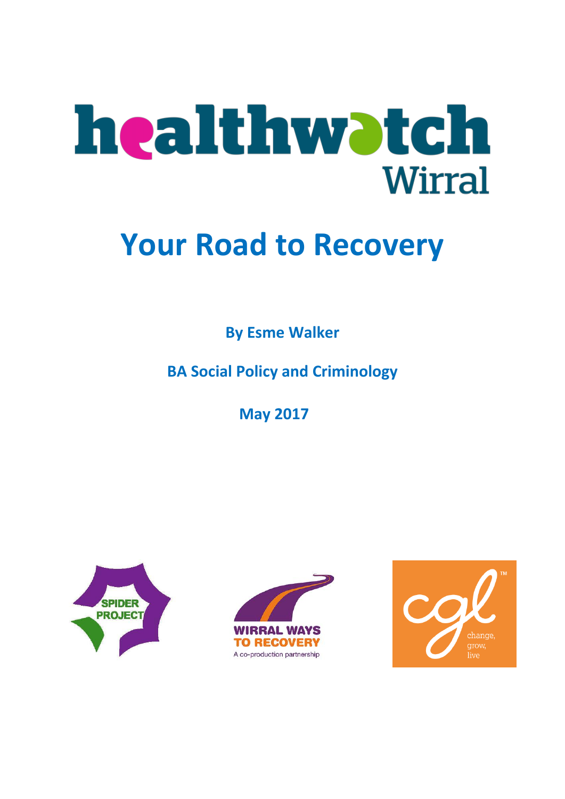

# **Your Road to Recovery**

**By Esme Walker**

**BA Social Policy and Criminology**

**May 2017**





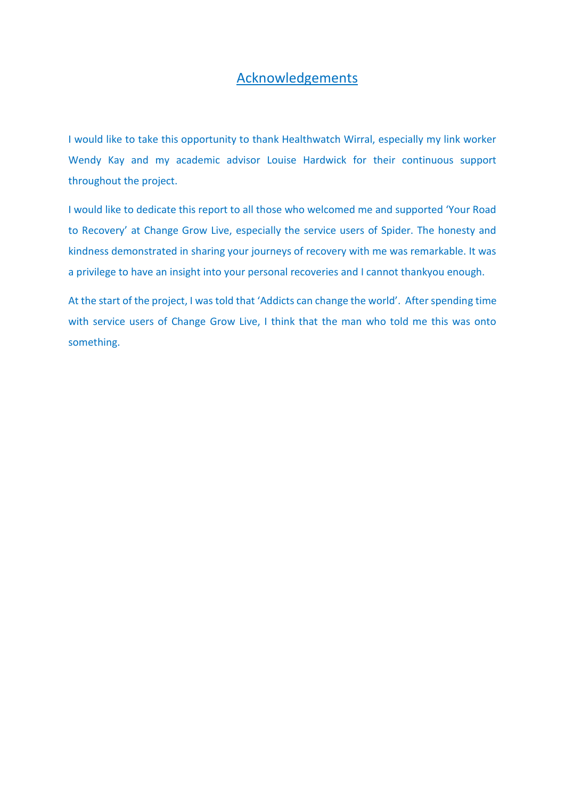# Acknowledgements

I would like to take this opportunity to thank Healthwatch Wirral, especially my link worker Wendy Kay and my academic advisor Louise Hardwick for their continuous support throughout the project.

I would like to dedicate this report to all those who welcomed me and supported 'Your Road to Recovery' at Change Grow Live, especially the service users of Spider. The honesty and kindness demonstrated in sharing your journeys of recovery with me was remarkable. It was a privilege to have an insight into your personal recoveries and I cannot thankyou enough.

At the start of the project, I was told that 'Addicts can change the world'. After spending time with service users of Change Grow Live, I think that the man who told me this was onto something.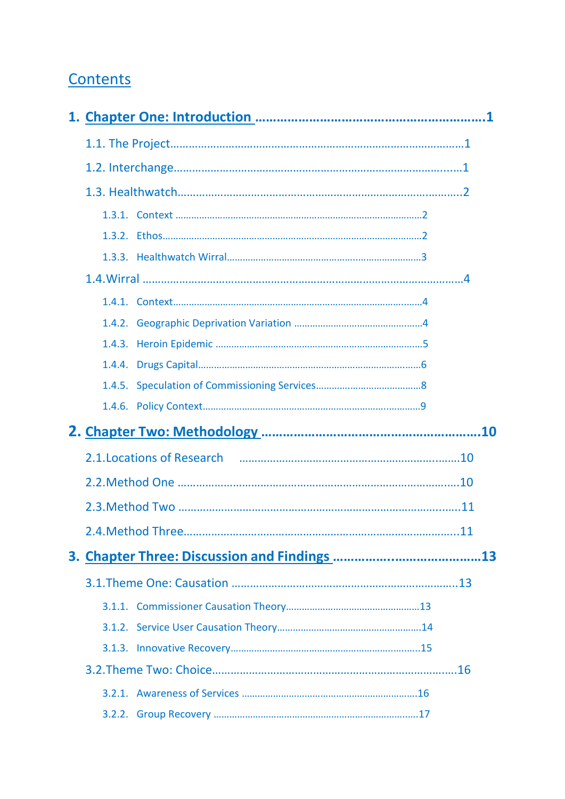# **Contents**

|  | 2.1. Locations of Research 2.1. Example 2.1. Locations of Research |    |
|--|--------------------------------------------------------------------|----|
|  |                                                                    |    |
|  |                                                                    |    |
|  | 2.4. Method Three                                                  | 11 |
|  |                                                                    |    |
|  |                                                                    |    |
|  |                                                                    |    |
|  |                                                                    |    |
|  |                                                                    |    |
|  |                                                                    |    |
|  |                                                                    |    |
|  |                                                                    |    |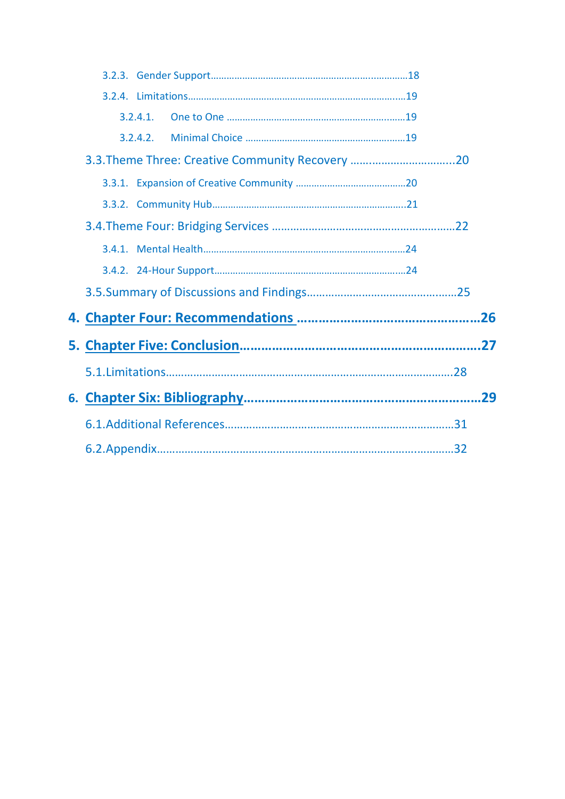|  | $3.2.4.1$ . |                                                  |  |
|--|-------------|--------------------------------------------------|--|
|  | 3.2.4.2.    |                                                  |  |
|  |             | 3.3. Theme Three: Creative Community Recovery 20 |  |
|  |             |                                                  |  |
|  |             |                                                  |  |
|  |             |                                                  |  |
|  |             |                                                  |  |
|  |             |                                                  |  |
|  |             |                                                  |  |
|  |             |                                                  |  |
|  |             |                                                  |  |
|  |             |                                                  |  |
|  |             |                                                  |  |
|  |             |                                                  |  |
|  |             |                                                  |  |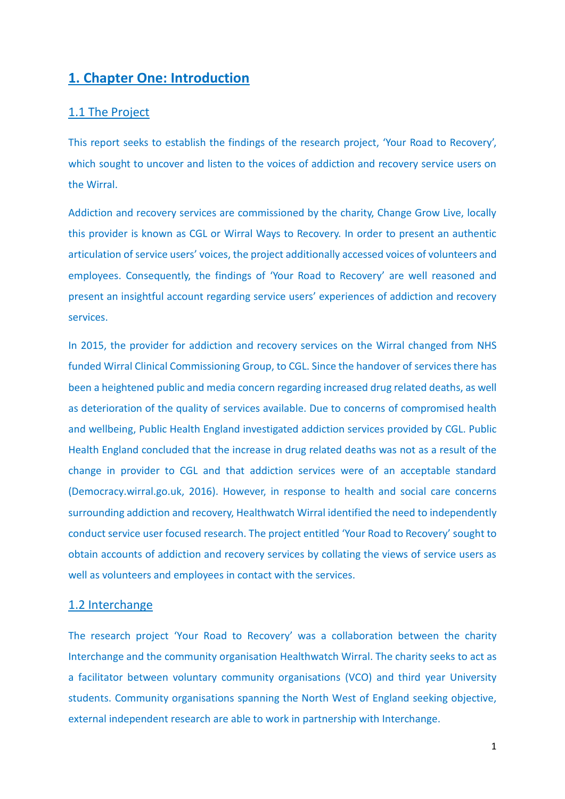# **1. Chapter One: Introduction**

## 1.1 The Project

This report seeks to establish the findings of the research project, 'Your Road to Recovery', which sought to uncover and listen to the voices of addiction and recovery service users on the Wirral.

Addiction and recovery services are commissioned by the charity, Change Grow Live, locally this provider is known as CGL or Wirral Ways to Recovery. In order to present an authentic articulation of service users' voices, the project additionally accessed voices of volunteers and employees. Consequently, the findings of 'Your Road to Recovery' are well reasoned and present an insightful account regarding service users' experiences of addiction and recovery services.

In 2015, the provider for addiction and recovery services on the Wirral changed from NHS funded Wirral Clinical Commissioning Group, to CGL. Since the handover of services there has been a heightened public and media concern regarding increased drug related deaths, as well as deterioration of the quality of services available. Due to concerns of compromised health and wellbeing, Public Health England investigated addiction services provided by CGL. Public Health England concluded that the increase in drug related deaths was not as a result of the change in provider to CGL and that addiction services were of an acceptable standard (Democracy.wirral.go.uk, 2016). However, in response to health and social care concerns surrounding addiction and recovery, Healthwatch Wirral identified the need to independently conduct service user focused research. The project entitled 'Your Road to Recovery' sought to obtain accounts of addiction and recovery services by collating the views of service users as well as volunteers and employees in contact with the services.

#### 1.2 Interchange

The research project 'Your Road to Recovery' was a collaboration between the charity Interchange and the community organisation Healthwatch Wirral. The charity seeks to act as a facilitator between voluntary community organisations (VCO) and third year University students. Community organisations spanning the North West of England seeking objective, external independent research are able to work in partnership with Interchange.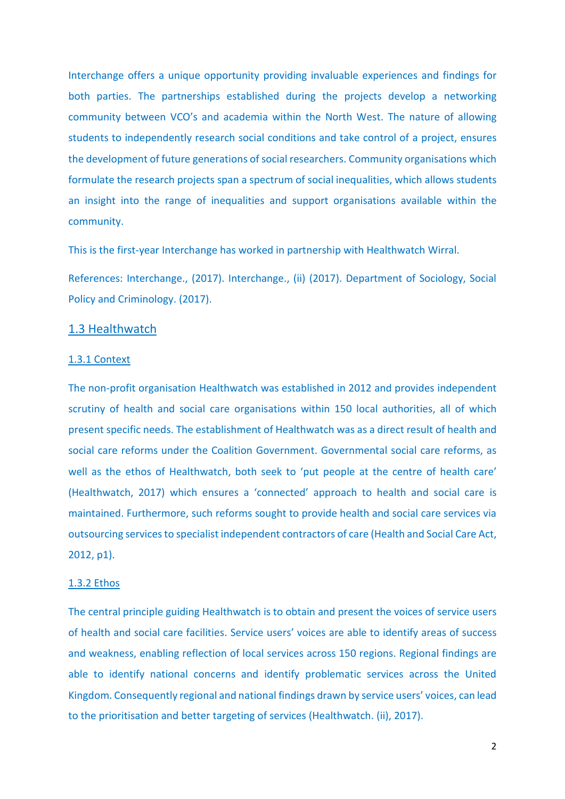Interchange offers a unique opportunity providing invaluable experiences and findings for both parties. The partnerships established during the projects develop a networking community between VCO's and academia within the North West. The nature of allowing students to independently research social conditions and take control of a project, ensures the development of future generations of social researchers. Community organisations which formulate the research projects span a spectrum of social inequalities, which allows students an insight into the range of inequalities and support organisations available within the community.

This is the first-year Interchange has worked in partnership with Healthwatch Wirral.

References: Interchange., (2017). Interchange., (ii) (2017). Department of Sociology, Social Policy and Criminology. (2017).

## 1.3 Healthwatch

#### 1.3.1 Context

The non-profit organisation Healthwatch was established in 2012 and provides independent scrutiny of health and social care organisations within 150 local authorities, all of which present specific needs. The establishment of Healthwatch was as a direct result of health and social care reforms under the Coalition Government. Governmental social care reforms, as well as the ethos of Healthwatch, both seek to 'put people at the centre of health care' (Healthwatch, 2017) which ensures a 'connected' approach to health and social care is maintained. Furthermore, such reforms sought to provide health and social care services via outsourcing services to specialist independent contractors of care (Health and Social Care Act, 2012, p1).

#### 1.3.2 Ethos

The central principle guiding Healthwatch is to obtain and present the voices of service users of health and social care facilities. Service users' voices are able to identify areas of success and weakness, enabling reflection of local services across 150 regions. Regional findings are able to identify national concerns and identify problematic services across the United Kingdom. Consequently regional and national findings drawn by service users' voices, can lead to the prioritisation and better targeting of services (Healthwatch. (ii), 2017).

2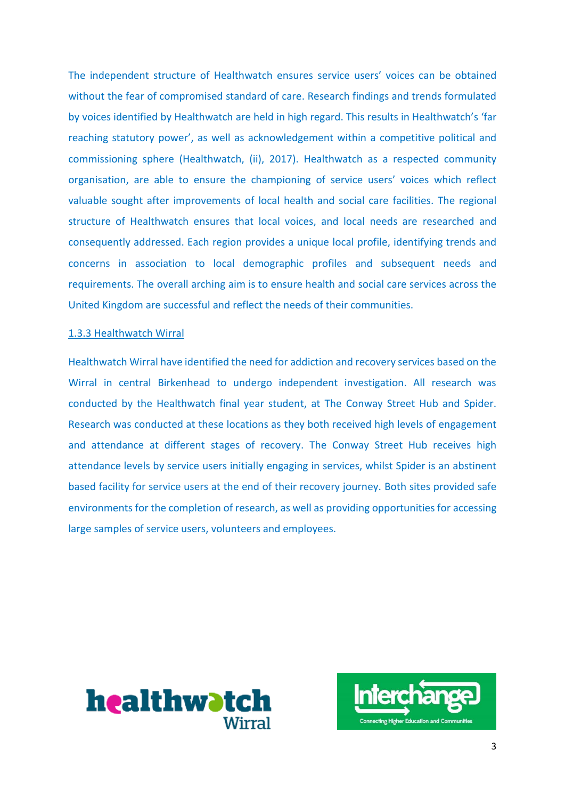The independent structure of Healthwatch ensures service users' voices can be obtained without the fear of compromised standard of care. Research findings and trends formulated by voices identified by Healthwatch are held in high regard. This results in Healthwatch's 'far reaching statutory power', as well as acknowledgement within a competitive political and commissioning sphere (Healthwatch, (ii), 2017). Healthwatch as a respected community organisation, are able to ensure the championing of service users' voices which reflect valuable sought after improvements of local health and social care facilities. The regional structure of Healthwatch ensures that local voices, and local needs are researched and consequently addressed. Each region provides a unique local profile, identifying trends and concerns in association to local demographic profiles and subsequent needs and requirements. The overall arching aim is to ensure health and social care services across the United Kingdom are successful and reflect the needs of their communities.

#### 1.3.3 Healthwatch Wirral

Healthwatch Wirral have identified the need for addiction and recovery services based on the Wirral in central Birkenhead to undergo independent investigation. All research was conducted by the Healthwatch final year student, at The Conway Street Hub and Spider. Research was conducted at these locations as they both received high levels of engagement and attendance at different stages of recovery. The Conway Street Hub receives high attendance levels by service users initially engaging in services, whilst Spider is an abstinent based facility for service users at the end of their recovery journey. Both sites provided safe environments for the completion of research, as well as providing opportunities for accessing large samples of service users, volunteers and employees.



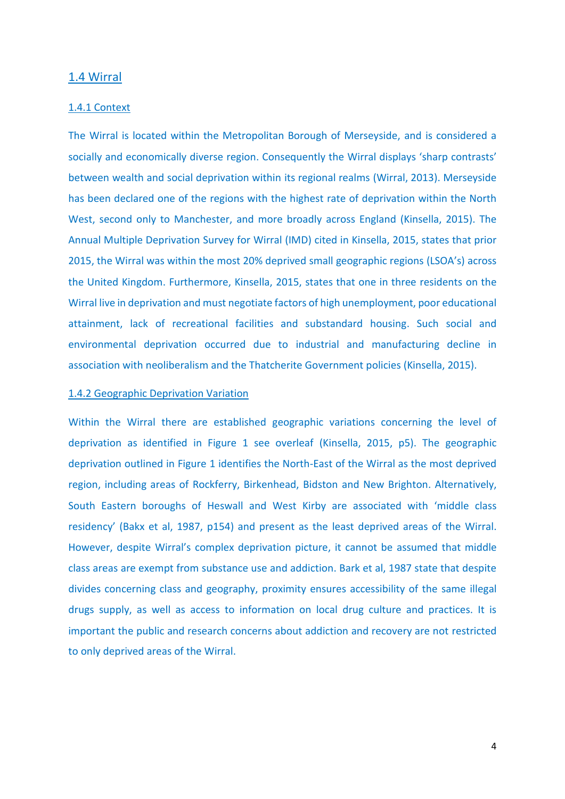## 1.4 Wirral

#### 1.4.1 Context

The Wirral is located within the Metropolitan Borough of Merseyside, and is considered a socially and economically diverse region. Consequently the Wirral displays 'sharp contrasts' between wealth and social deprivation within its regional realms (Wirral, 2013). Merseyside has been declared one of the regions with the highest rate of deprivation within the North West, second only to Manchester, and more broadly across England (Kinsella, 2015). The Annual Multiple Deprivation Survey for Wirral (IMD) cited in Kinsella, 2015, states that prior 2015, the Wirral was within the most 20% deprived small geographic regions (LSOA's) across the United Kingdom. Furthermore, Kinsella, 2015, states that one in three residents on the Wirral live in deprivation and must negotiate factors of high unemployment, poor educational attainment, lack of recreational facilities and substandard housing. Such social and environmental deprivation occurred due to industrial and manufacturing decline in association with neoliberalism and the Thatcherite Government policies (Kinsella, 2015).

#### 1.4.2 Geographic Deprivation Variation

Within the Wirral there are established geographic variations concerning the level of deprivation as identified in Figure 1 see overleaf (Kinsella, 2015, p5). The geographic deprivation outlined in Figure 1 identifies the North-East of the Wirral as the most deprived region, including areas of Rockferry, Birkenhead, Bidston and New Brighton. Alternatively, South Eastern boroughs of Heswall and West Kirby are associated with 'middle class residency' (Bakx et al, 1987, p154) and present as the least deprived areas of the Wirral. However, despite Wirral's complex deprivation picture, it cannot be assumed that middle class areas are exempt from substance use and addiction. Bark et al, 1987 state that despite divides concerning class and geography, proximity ensures accessibility of the same illegal drugs supply, as well as access to information on local drug culture and practices. It is important the public and research concerns about addiction and recovery are not restricted to only deprived areas of the Wirral.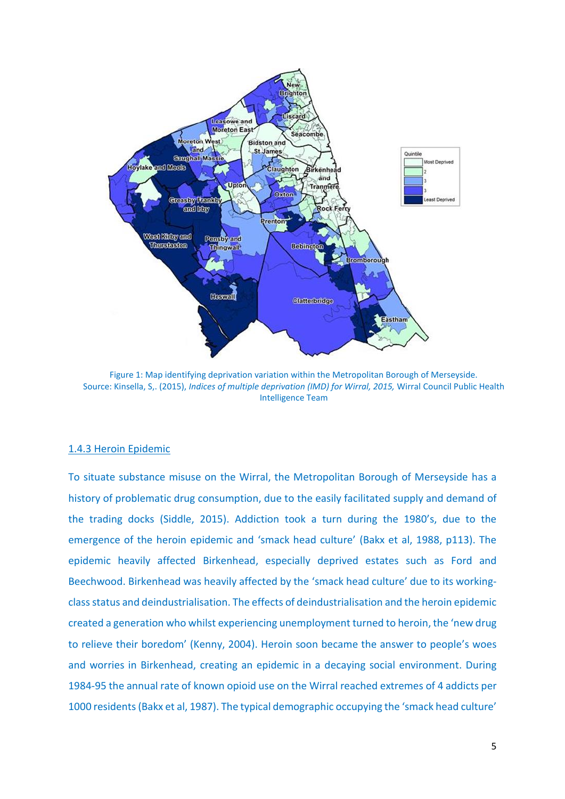

Figure 1: Map identifying deprivation variation within the Metropolitan Borough of Merseyside. Source: Kinsella, S,. (2015), *Indices of multiple deprivation (IMD) for Wirral, 2015,* Wirral Council Public Health Intelligence Team

#### 1.4.3 Heroin Epidemic

To situate substance misuse on the Wirral, the Metropolitan Borough of Merseyside has a history of problematic drug consumption, due to the easily facilitated supply and demand of the trading docks (Siddle, 2015). Addiction took a turn during the 1980's, due to the emergence of the heroin epidemic and 'smack head culture' (Bakx et al, 1988, p113). The epidemic heavily affected Birkenhead, especially deprived estates such as Ford and Beechwood. Birkenhead was heavily affected by the 'smack head culture' due to its workingclassstatus and deindustrialisation. The effects of deindustrialisation and the heroin epidemic created a generation who whilst experiencing unemployment turned to heroin, the 'new drug to relieve their boredom' (Kenny, 2004). Heroin soon became the answer to people's woes and worries in Birkenhead, creating an epidemic in a decaying social environment. During 1984-95 the annual rate of known opioid use on the Wirral reached extremes of 4 addicts per 1000 residents(Bakx et al, 1987). The typical demographic occupying the 'smack head culture'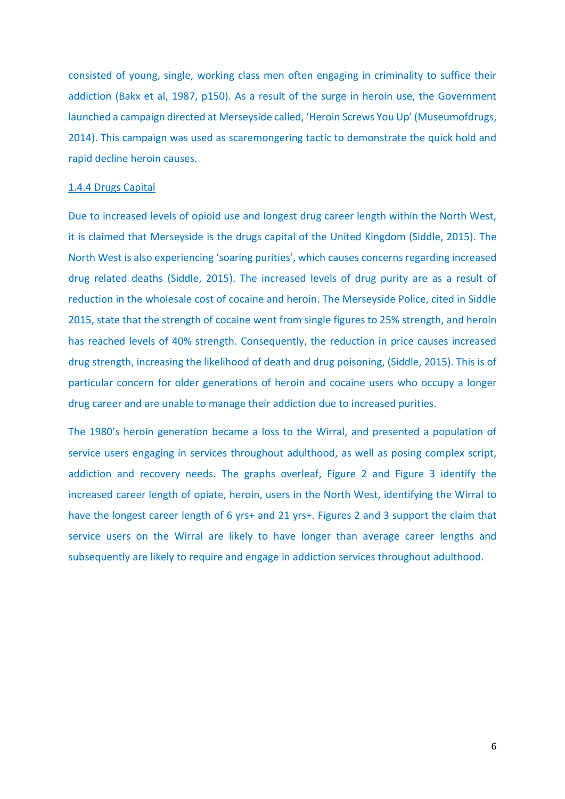consisted of young, single, working class men often engaging in criminality to suffice their addiction (Bakx et al, 1987, p150). As a result of the surge in heroin use, the Government launched a campaign directed at Merseyside called, 'Heroin Screws You Up' (Museumofdrugs, 2014). This campaign was used as scaremongering tactic to demonstrate the quick hold and rapid decline heroin causes.

#### 1.4.4 Drugs Capital

Due to increased levels of opioid use and longest drug career length within the North West, it is claimed that Merseyside is the drugs capital of the United Kingdom (Siddle, 2015). The North West is also experiencing 'soaring purities', which causes concerns regarding increased drug related deaths (Siddle, 2015). The increased levels of drug purity are as a result of reduction in the wholesale cost of cocaine and heroin. The Merseyside Police, cited in Siddle 2015, state that the strength of cocaine went from single figures to 25% strength, and heroin has reached levels of 40% strength. Consequently, the reduction in price causes increased drug strength, increasing the likelihood of death and drug poisoning, (Siddle, 2015). This is of particular concern for older generations of heroin and cocaine users who occupy a longer drug career and are unable to manage their addiction due to increased purities.

The 1980's heroin generation became a loss to the Wirral, and presented a population of service users engaging in services throughout adulthood, as well as posing complex script, addiction and recovery needs. The graphs overleaf, Figure 2 and Figure 3 identify the increased career length of opiate, heroin, users in the North West, identifying the Wirral to have the longest career length of 6 yrs+ and 21 yrs+. Figures 2 and 3 support the claim that service users on the Wirral are likely to have longer than average career lengths and subsequently are likely to require and engage in addiction services throughout adulthood.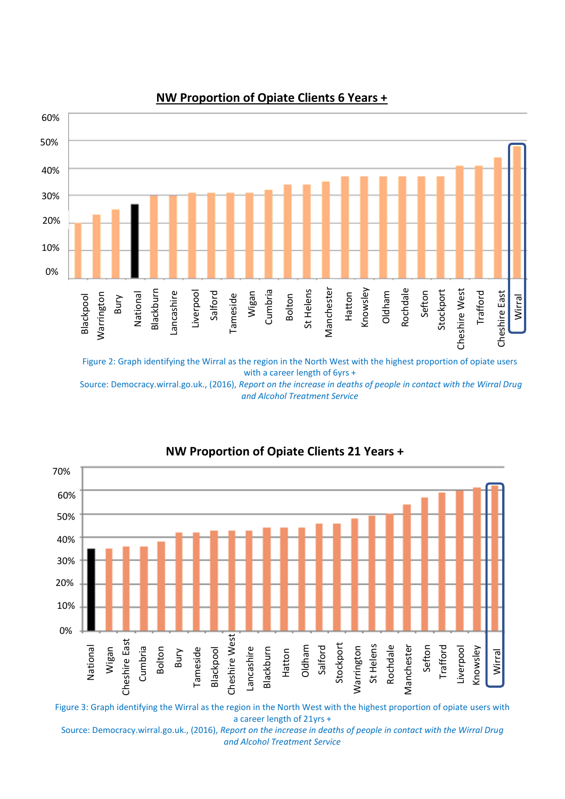

# **NW Proportion of Opiate Clients 6 Years +**

Figure 2: Graph identifying the Wirral as the region in the North West with the highest proportion of opiate users with a career length of 6yrs +

Source: Democracy.wirral.go.uk., (2016), *Report on the increase in deaths of people in contact with the Wirral Drug and Alcohol Treatment Service*



# **NW Proportion of Opiate Clients 21 Years +**

Figure 3: Graph identifying the Wirral as the region in the North West with the highest proportion of opiate users with a career length of 21yrs +

Source: Democracy.wirral.go.uk., (2016), *Report on the increase in deaths of people in contact with the Wirral Drug and Alcohol Treatment Service*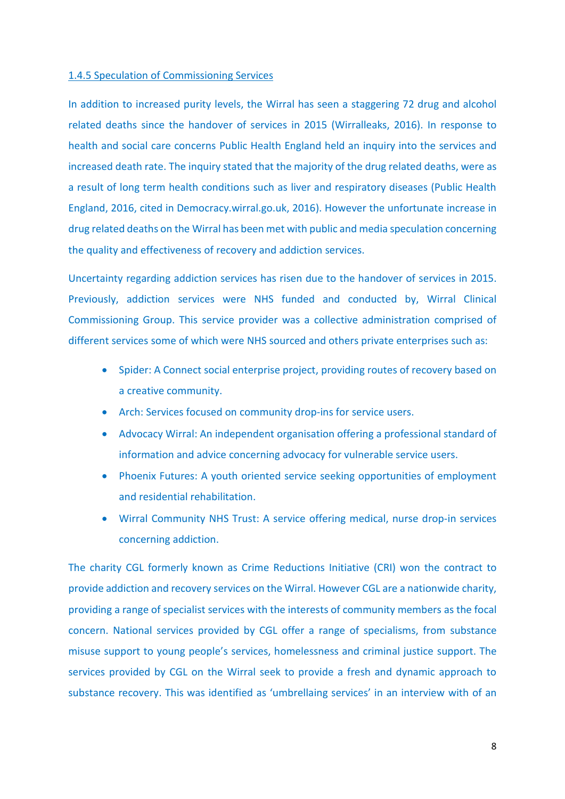#### 1.4.5 Speculation of Commissioning Services

In addition to increased purity levels, the Wirral has seen a staggering 72 drug and alcohol related deaths since the handover of services in 2015 (Wirralleaks, 2016). In response to health and social care concerns Public Health England held an inquiry into the services and increased death rate. The inquiry stated that the majority of the drug related deaths, were as a result of long term health conditions such as liver and respiratory diseases (Public Health England, 2016, cited in Democracy.wirral.go.uk, 2016). However the unfortunate increase in drug related deaths on the Wirral has been met with public and media speculation concerning the quality and effectiveness of recovery and addiction services.

Uncertainty regarding addiction services has risen due to the handover of services in 2015. Previously, addiction services were NHS funded and conducted by, Wirral Clinical Commissioning Group. This service provider was a collective administration comprised of different services some of which were NHS sourced and others private enterprises such as:

- Spider: A Connect social enterprise project, providing routes of recovery based on a creative community.
- Arch: Services focused on community drop-ins for service users.
- Advocacy Wirral: An independent organisation offering a professional standard of information and advice concerning advocacy for vulnerable service users.
- Phoenix Futures: A youth oriented service seeking opportunities of employment and residential rehabilitation.
- Wirral Community NHS Trust: A service offering medical, nurse drop-in services concerning addiction.

The charity CGL formerly known as Crime Reductions Initiative (CRI) won the contract to provide addiction and recovery services on the Wirral. However CGL are a nationwide charity, providing a range of specialist services with the interests of community members as the focal concern. National services provided by CGL offer a range of specialisms, from substance misuse support to young people's services, homelessness and criminal justice support. The services provided by CGL on the Wirral seek to provide a fresh and dynamic approach to substance recovery. This was identified as 'umbrellaing services' in an interview with of an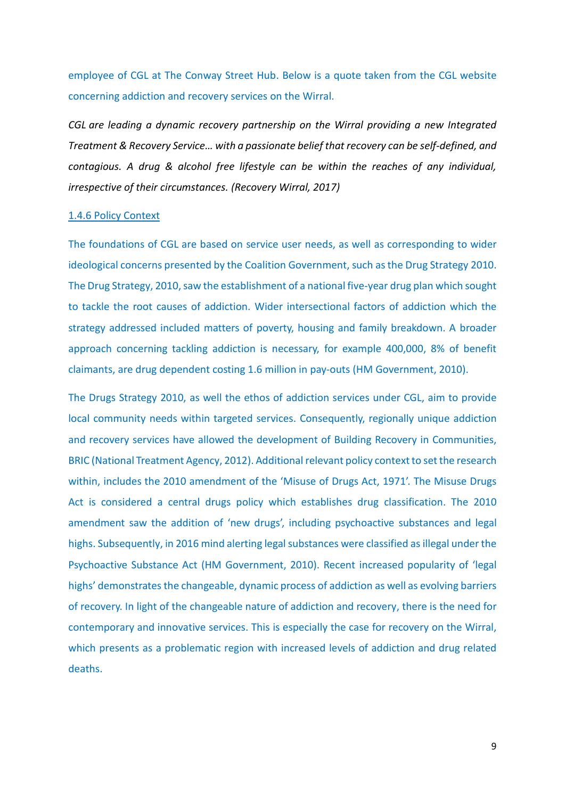employee of CGL at The Conway Street Hub. Below is a quote taken from the CGL website concerning addiction and recovery services on the Wirral.

*CGL are leading a dynamic recovery partnership on the Wirral providing a new Integrated Treatment & Recovery Service… with a passionate belief that recovery can be self-defined, and contagious. A drug & alcohol free lifestyle can be within the reaches of any individual, irrespective of their circumstances. (Recovery Wirral, 2017)*

#### 1.4.6 Policy Context

The foundations of CGL are based on service user needs, as well as corresponding to wider ideological concerns presented by the Coalition Government, such as the Drug Strategy 2010. The Drug Strategy, 2010, saw the establishment of a national five-year drug plan which sought to tackle the root causes of addiction. Wider intersectional factors of addiction which the strategy addressed included matters of poverty, housing and family breakdown. A broader approach concerning tackling addiction is necessary, for example 400,000, 8% of benefit claimants, are drug dependent costing 1.6 million in pay-outs (HM Government, 2010).

The Drugs Strategy 2010, as well the ethos of addiction services under CGL, aim to provide local community needs within targeted services. Consequently, regionally unique addiction and recovery services have allowed the development of Building Recovery in Communities, BRIC (National Treatment Agency, 2012). Additional relevant policy context to set the research within, includes the 2010 amendment of the 'Misuse of Drugs Act, 1971'. The Misuse Drugs Act is considered a central drugs policy which establishes drug classification. The 2010 amendment saw the addition of 'new drugs', including psychoactive substances and legal highs. Subsequently, in 2016 mind alerting legal substances were classified as illegal under the Psychoactive Substance Act (HM Government, 2010). Recent increased popularity of 'legal highs' demonstrates the changeable, dynamic process of addiction as well as evolving barriers of recovery. In light of the changeable nature of addiction and recovery, there is the need for contemporary and innovative services. This is especially the case for recovery on the Wirral, which presents as a problematic region with increased levels of addiction and drug related deaths.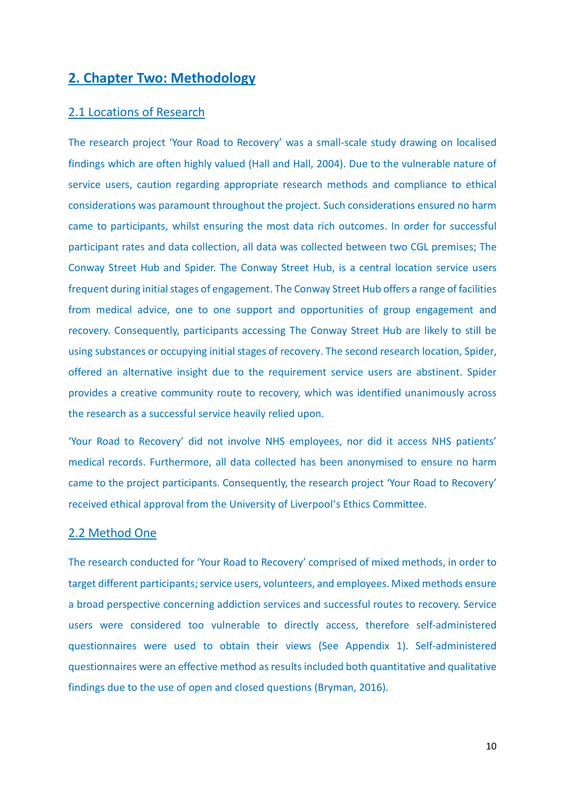# **2. Chapter Two: Methodology**

## 2.1 Locations of Research

The research project 'Your Road to Recovery' was a small-scale study drawing on localised findings which are often highly valued (Hall and Hall, 2004). Due to the vulnerable nature of service users, caution regarding appropriate research methods and compliance to ethical considerations was paramount throughout the project. Such considerations ensured no harm came to participants, whilst ensuring the most data rich outcomes. In order for successful participant rates and data collection, all data was collected between two CGL premises; The Conway Street Hub and Spider. The Conway Street Hub, is a central location service users frequent during initial stages of engagement. The Conway Street Hub offers a range of facilities from medical advice, one to one support and opportunities of group engagement and recovery. Consequently, participants accessing The Conway Street Hub are likely to still be using substances or occupying initial stages of recovery. The second research location, Spider, offered an alternative insight due to the requirement service users are abstinent. Spider provides a creative community route to recovery, which was identified unanimously across the research as a successful service heavily relied upon.

'Your Road to Recovery' did not involve NHS employees, nor did it access NHS patients' medical records. Furthermore, all data collected has been anonymised to ensure no harm came to the project participants. Consequently, the research project 'Your Road to Recovery' received ethical approval from the University of Liverpool's Ethics Committee.

#### 2.2 Method One

The research conducted for 'Your Road to Recovery' comprised of mixed methods, in order to target different participants; service users, volunteers, and employees. Mixed methods ensure a broad perspective concerning addiction services and successful routes to recovery. Service users were considered too vulnerable to directly access, therefore self-administered questionnaires were used to obtain their views (See Appendix 1). Self-administered questionnaires were an effective method as results included both quantitative and qualitative findings due to the use of open and closed questions (Bryman, 2016).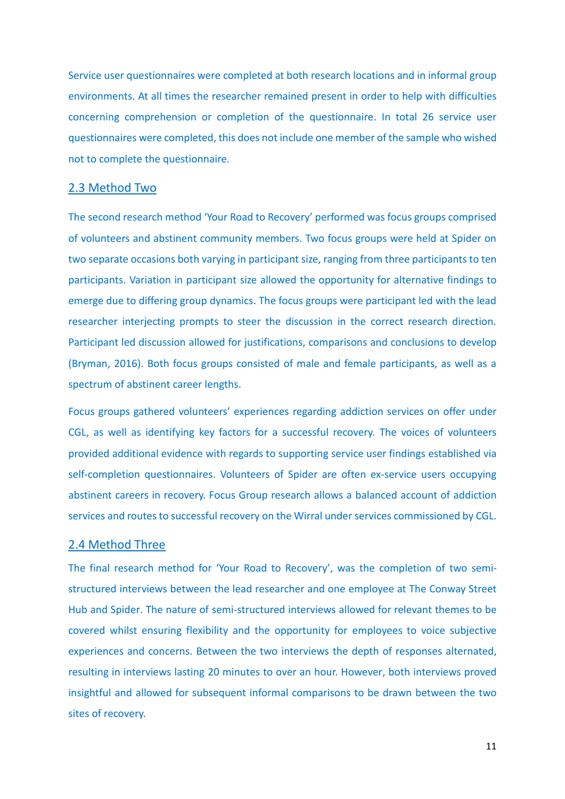Service user questionnaires were completed at both research locations and in informal group environments. At all times the researcher remained present in order to help with difficulties concerning comprehension or completion of the questionnaire. In total 26 service user questionnaires were completed, this does not include one member of the sample who wished not to complete the questionnaire.

## 2.3 Method Two

The second research method 'Your Road to Recovery' performed was focus groups comprised of volunteers and abstinent community members. Two focus groups were held at Spider on two separate occasions both varying in participant size, ranging from three participants to ten participants. Variation in participant size allowed the opportunity for alternative findings to emerge due to differing group dynamics. The focus groups were participant led with the lead researcher interjecting prompts to steer the discussion in the correct research direction. Participant led discussion allowed for justifications, comparisons and conclusions to develop (Bryman, 2016). Both focus groups consisted of male and female participants, as well as a spectrum of abstinent career lengths.

Focus groups gathered volunteers' experiences regarding addiction services on offer under CGL, as well as identifying key factors for a successful recovery. The voices of volunteers provided additional evidence with regards to supporting service user findings established via self-completion questionnaires. Volunteers of Spider are often ex-service users occupying abstinent careers in recovery. Focus Group research allows a balanced account of addiction services and routes to successful recovery on the Wirral under services commissioned by CGL.

## 2.4 Method Three

The final research method for 'Your Road to Recovery', was the completion of two semistructured interviews between the lead researcher and one employee at The Conway Street Hub and Spider. The nature of semi-structured interviews allowed for relevant themes to be covered whilst ensuring flexibility and the opportunity for employees to voice subjective experiences and concerns. Between the two interviews the depth of responses alternated, resulting in interviews lasting 20 minutes to over an hour. However, both interviews proved insightful and allowed for subsequent informal comparisons to be drawn between the two sites of recovery.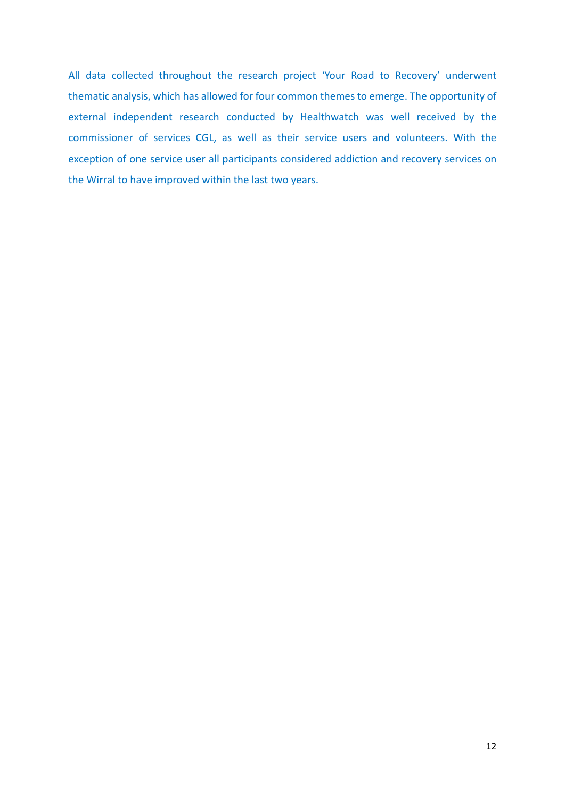All data collected throughout the research project 'Your Road to Recovery' underwent thematic analysis, which has allowed for four common themes to emerge. The opportunity of external independent research conducted by Healthwatch was well received by the commissioner of services CGL, as well as their service users and volunteers. With the exception of one service user all participants considered addiction and recovery services on the Wirral to have improved within the last two years.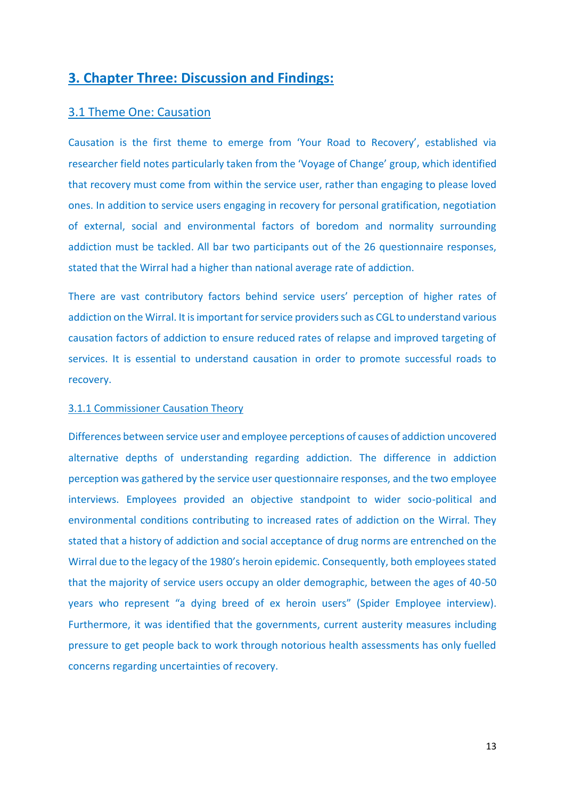# **3. Chapter Three: Discussion and Findings:**

## 3.1 Theme One: Causation

Causation is the first theme to emerge from 'Your Road to Recovery', established via researcher field notes particularly taken from the 'Voyage of Change' group, which identified that recovery must come from within the service user, rather than engaging to please loved ones. In addition to service users engaging in recovery for personal gratification, negotiation of external, social and environmental factors of boredom and normality surrounding addiction must be tackled. All bar two participants out of the 26 questionnaire responses, stated that the Wirral had a higher than national average rate of addiction.

There are vast contributory factors behind service users' perception of higher rates of addiction on the Wirral. It is important for service providers such as CGL to understand various causation factors of addiction to ensure reduced rates of relapse and improved targeting of services. It is essential to understand causation in order to promote successful roads to recovery.

#### 3.1.1 Commissioner Causation Theory

Differences between service user and employee perceptions of causes of addiction uncovered alternative depths of understanding regarding addiction. The difference in addiction perception was gathered by the service user questionnaire responses, and the two employee interviews. Employees provided an objective standpoint to wider socio-political and environmental conditions contributing to increased rates of addiction on the Wirral. They stated that a history of addiction and social acceptance of drug norms are entrenched on the Wirral due to the legacy of the 1980's heroin epidemic. Consequently, both employees stated that the majority of service users occupy an older demographic, between the ages of 40-50 years who represent "a dying breed of ex heroin users" (Spider Employee interview). Furthermore, it was identified that the governments, current austerity measures including pressure to get people back to work through notorious health assessments has only fuelled concerns regarding uncertainties of recovery.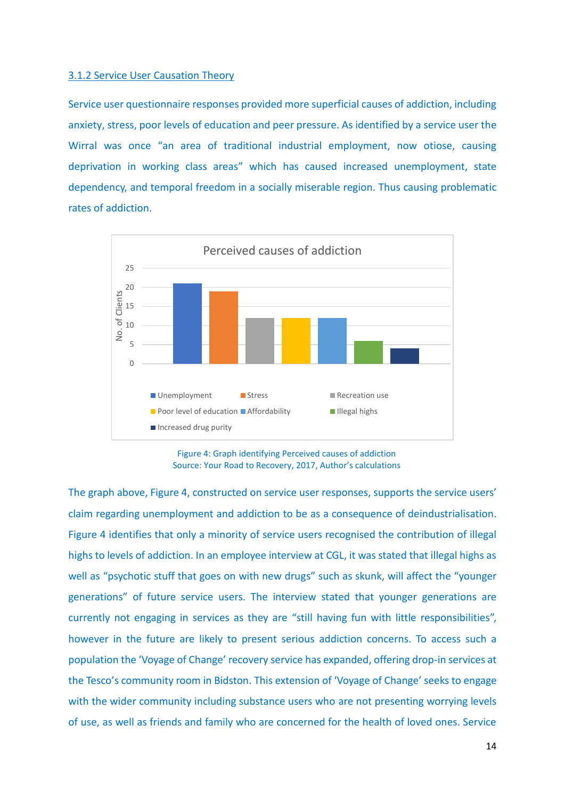#### 3.1.2 Service User Causation Theory

Service user questionnaire responses provided more superficial causes of addiction, including anxiety, stress, poor levels of education and peer pressure. As identified by a service user the Wirral was once "an area of traditional industrial employment, now otiose, causing deprivation in working class areas" which has caused increased unemployment, state dependency, and temporal freedom in a socially miserable region. Thus causing problematic rates of addiction.



Figure 4: Graph identifying Perceived causes of addiction Source: Your Road to Recovery, 2017, Author's calculations

The graph above, Figure 4, constructed on service user responses, supports the service users' claim regarding unemployment and addiction to be as a consequence of deindustrialisation. Figure 4 identifies that only a minority of service users recognised the contribution of illegal highs to levels of addiction. In an employee interview at CGL, it was stated that illegal highs as well as "psychotic stuff that goes on with new drugs" such as skunk, will affect the "younger generations" of future service users. The interview stated that younger generations are currently not engaging in services as they are "still having fun with little responsibilities", however in the future are likely to present serious addiction concerns. To access such a population the 'Voyage of Change' recovery service has expanded, offering drop-in services at the Tesco's community room in Bidston. This extension of 'Voyage of Change' seeks to engage with the wider community including substance users who are not presenting worrying levels of use, as well as friends and family who are concerned for the health of loved ones. Service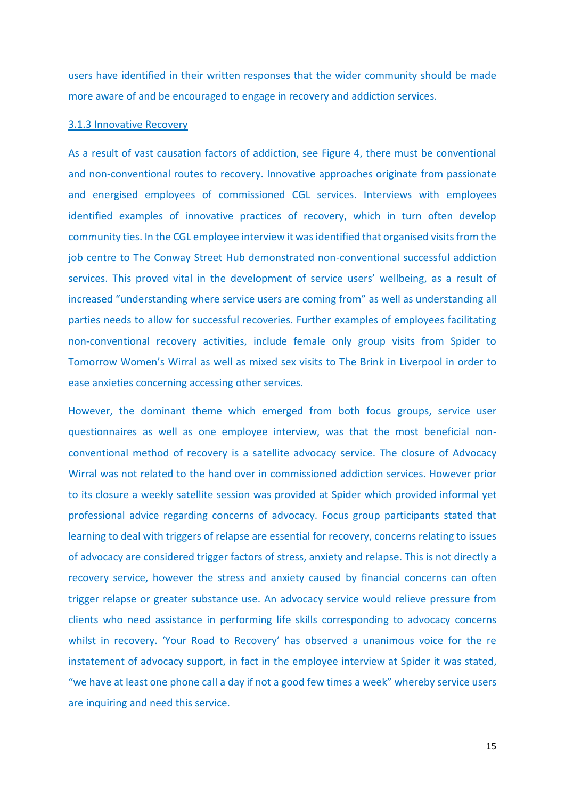users have identified in their written responses that the wider community should be made more aware of and be encouraged to engage in recovery and addiction services.

#### 3.1.3 Innovative Recovery

As a result of vast causation factors of addiction, see Figure 4, there must be conventional and non-conventional routes to recovery. Innovative approaches originate from passionate and energised employees of commissioned CGL services. Interviews with employees identified examples of innovative practices of recovery, which in turn often develop community ties. In the CGL employee interview it was identified that organised visits from the job centre to The Conway Street Hub demonstrated non-conventional successful addiction services. This proved vital in the development of service users' wellbeing, as a result of increased "understanding where service users are coming from" as well as understanding all parties needs to allow for successful recoveries. Further examples of employees facilitating non-conventional recovery activities, include female only group visits from Spider to Tomorrow Women's Wirral as well as mixed sex visits to The Brink in Liverpool in order to ease anxieties concerning accessing other services.

However, the dominant theme which emerged from both focus groups, service user questionnaires as well as one employee interview, was that the most beneficial nonconventional method of recovery is a satellite advocacy service. The closure of Advocacy Wirral was not related to the hand over in commissioned addiction services. However prior to its closure a weekly satellite session was provided at Spider which provided informal yet professional advice regarding concerns of advocacy. Focus group participants stated that learning to deal with triggers of relapse are essential for recovery, concerns relating to issues of advocacy are considered trigger factors of stress, anxiety and relapse. This is not directly a recovery service, however the stress and anxiety caused by financial concerns can often trigger relapse or greater substance use. An advocacy service would relieve pressure from clients who need assistance in performing life skills corresponding to advocacy concerns whilst in recovery. 'Your Road to Recovery' has observed a unanimous voice for the re instatement of advocacy support, in fact in the employee interview at Spider it was stated, "we have at least one phone call a day if not a good few times a week" whereby service users are inquiring and need this service.

15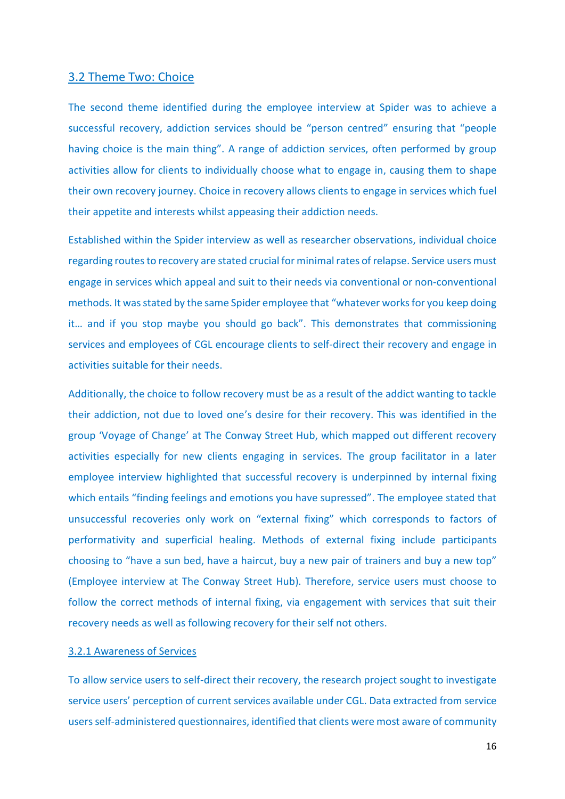#### 3.2 Theme Two: Choice

The second theme identified during the employee interview at Spider was to achieve a successful recovery, addiction services should be "person centred" ensuring that "people having choice is the main thing". A range of addiction services, often performed by group activities allow for clients to individually choose what to engage in, causing them to shape their own recovery journey. Choice in recovery allows clients to engage in services which fuel their appetite and interests whilst appeasing their addiction needs.

Established within the Spider interview as well as researcher observations, individual choice regarding routes to recovery are stated crucial for minimal rates of relapse. Service users must engage in services which appeal and suit to their needs via conventional or non-conventional methods. It was stated by the same Spider employee that "whatever works for you keep doing it… and if you stop maybe you should go back". This demonstrates that commissioning services and employees of CGL encourage clients to self-direct their recovery and engage in activities suitable for their needs.

Additionally, the choice to follow recovery must be as a result of the addict wanting to tackle their addiction, not due to loved one's desire for their recovery. This was identified in the group 'Voyage of Change' at The Conway Street Hub, which mapped out different recovery activities especially for new clients engaging in services. The group facilitator in a later employee interview highlighted that successful recovery is underpinned by internal fixing which entails "finding feelings and emotions you have supressed". The employee stated that unsuccessful recoveries only work on "external fixing" which corresponds to factors of performativity and superficial healing. Methods of external fixing include participants choosing to "have a sun bed, have a haircut, buy a new pair of trainers and buy a new top" (Employee interview at The Conway Street Hub). Therefore, service users must choose to follow the correct methods of internal fixing, via engagement with services that suit their recovery needs as well as following recovery for their self not others.

#### 3.2.1 Awareness of Services

To allow service users to self-direct their recovery, the research project sought to investigate service users' perception of current services available under CGL. Data extracted from service users self-administered questionnaires, identified that clients were most aware of community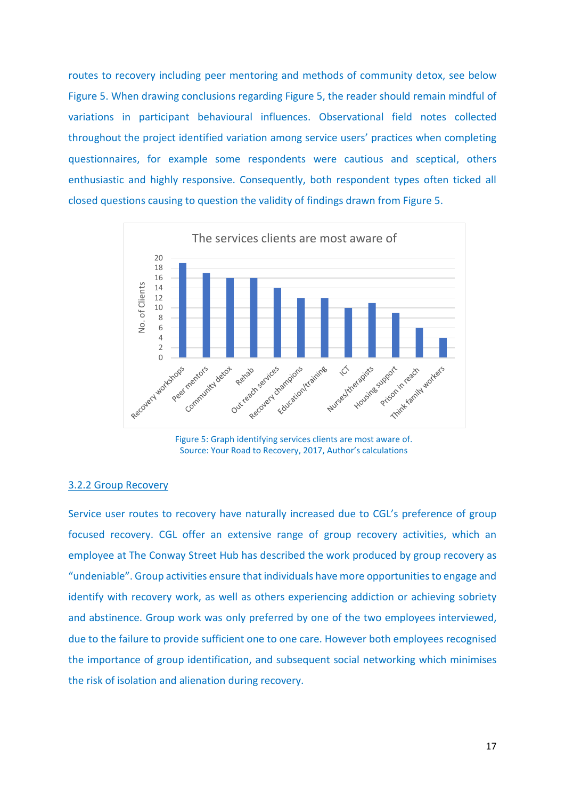routes to recovery including peer mentoring and methods of community detox, see below Figure 5. When drawing conclusions regarding Figure 5, the reader should remain mindful of variations in participant behavioural influences. Observational field notes collected throughout the project identified variation among service users' practices when completing questionnaires, for example some respondents were cautious and sceptical, others enthusiastic and highly responsive. Consequently, both respondent types often ticked all closed questions causing to question the validity of findings drawn from Figure 5.



Figure 5: Graph identifying services clients are most aware of. Source: Your Road to Recovery, 2017, Author's calculations

## 3.2.2 Group Recovery

Service user routes to recovery have naturally increased due to CGL's preference of group focused recovery. CGL offer an extensive range of group recovery activities, which an employee at The Conway Street Hub has described the work produced by group recovery as "undeniable". Group activities ensure that individuals have more opportunities to engage and identify with recovery work, as well as others experiencing addiction or achieving sobriety and abstinence. Group work was only preferred by one of the two employees interviewed, due to the failure to provide sufficient one to one care. However both employees recognised the importance of group identification, and subsequent social networking which minimises the risk of isolation and alienation during recovery.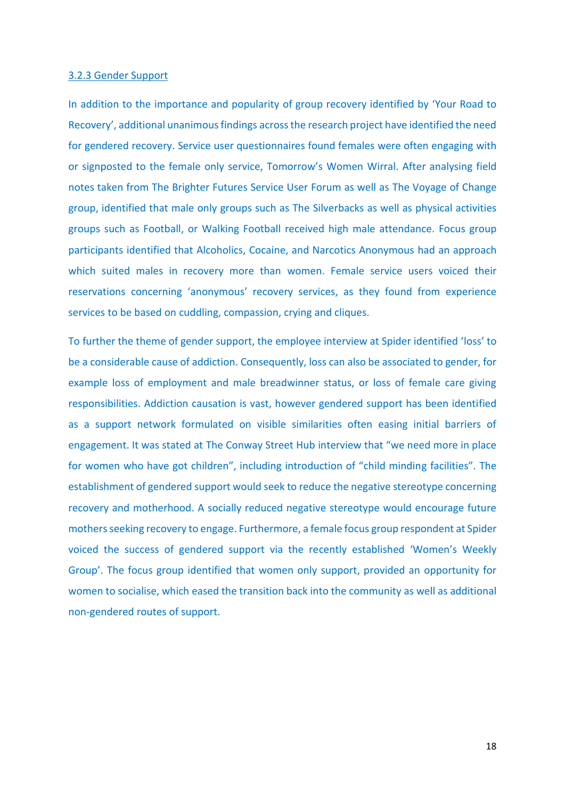#### 3.2.3 Gender Support

In addition to the importance and popularity of group recovery identified by 'Your Road to Recovery', additional unanimous findings across the research project have identified the need for gendered recovery. Service user questionnaires found females were often engaging with or signposted to the female only service, Tomorrow's Women Wirral. After analysing field notes taken from The Brighter Futures Service User Forum as well as The Voyage of Change group, identified that male only groups such as The Silverbacks as well as physical activities groups such as Football, or Walking Football received high male attendance. Focus group participants identified that Alcoholics, Cocaine, and Narcotics Anonymous had an approach which suited males in recovery more than women. Female service users voiced their reservations concerning 'anonymous' recovery services, as they found from experience services to be based on cuddling, compassion, crying and cliques.

To further the theme of gender support, the employee interview at Spider identified 'loss' to be a considerable cause of addiction. Consequently, loss can also be associated to gender, for example loss of employment and male breadwinner status, or loss of female care giving responsibilities. Addiction causation is vast, however gendered support has been identified as a support network formulated on visible similarities often easing initial barriers of engagement. It was stated at The Conway Street Hub interview that "we need more in place for women who have got children", including introduction of "child minding facilities". The establishment of gendered support would seek to reduce the negative stereotype concerning recovery and motherhood. A socially reduced negative stereotype would encourage future mothers seeking recovery to engage. Furthermore, a female focus group respondent at Spider voiced the success of gendered support via the recently established 'Women's Weekly Group'. The focus group identified that women only support, provided an opportunity for women to socialise, which eased the transition back into the community as well as additional non-gendered routes of support.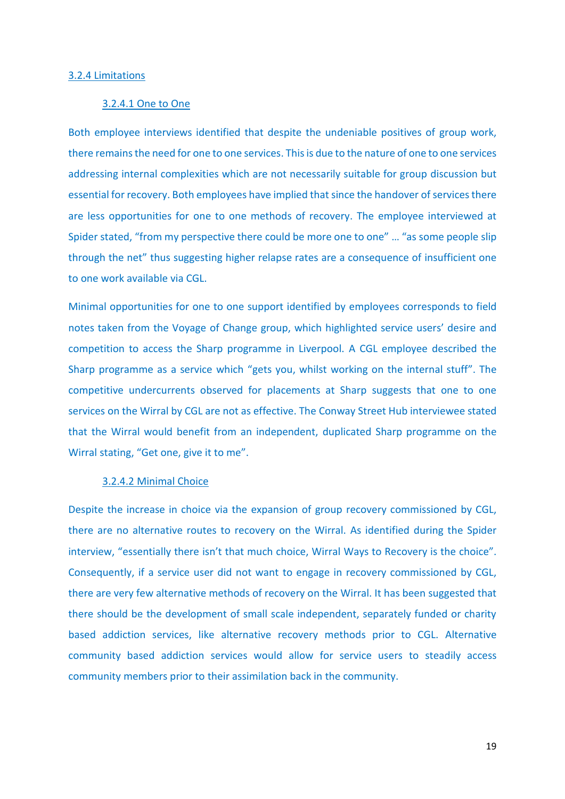#### 3.2.4 Limitations

#### 3.2.4.1 One to One

Both employee interviews identified that despite the undeniable positives of group work, there remains the need for one to one services. This is due to the nature of one to one services addressing internal complexities which are not necessarily suitable for group discussion but essential for recovery. Both employees have implied that since the handover of services there are less opportunities for one to one methods of recovery. The employee interviewed at Spider stated, "from my perspective there could be more one to one" ... "as some people slip through the net" thus suggesting higher relapse rates are a consequence of insufficient one to one work available via CGL.

Minimal opportunities for one to one support identified by employees corresponds to field notes taken from the Voyage of Change group, which highlighted service users' desire and competition to access the Sharp programme in Liverpool. A CGL employee described the Sharp programme as a service which "gets you, whilst working on the internal stuff". The competitive undercurrents observed for placements at Sharp suggests that one to one services on the Wirral by CGL are not as effective. The Conway Street Hub interviewee stated that the Wirral would benefit from an independent, duplicated Sharp programme on the Wirral stating, "Get one, give it to me".

#### 3.2.4.2 Minimal Choice

Despite the increase in choice via the expansion of group recovery commissioned by CGL, there are no alternative routes to recovery on the Wirral. As identified during the Spider interview, "essentially there isn't that much choice, Wirral Ways to Recovery is the choice". Consequently, if a service user did not want to engage in recovery commissioned by CGL, there are very few alternative methods of recovery on the Wirral. It has been suggested that there should be the development of small scale independent, separately funded or charity based addiction services, like alternative recovery methods prior to CGL. Alternative community based addiction services would allow for service users to steadily access community members prior to their assimilation back in the community.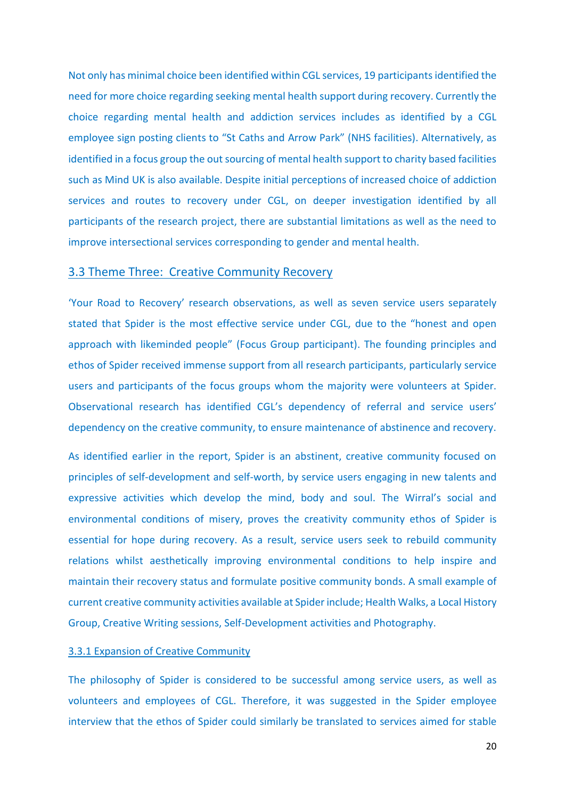Not only has minimal choice been identified within CGL services, 19 participantsidentified the need for more choice regarding seeking mental health support during recovery. Currently the choice regarding mental health and addiction services includes as identified by a CGL employee sign posting clients to "St Caths and Arrow Park" (NHS facilities). Alternatively, as identified in a focus group the out sourcing of mental health support to charity based facilities such as Mind UK is also available. Despite initial perceptions of increased choice of addiction services and routes to recovery under CGL, on deeper investigation identified by all participants of the research project, there are substantial limitations as well as the need to improve intersectional services corresponding to gender and mental health.

#### 3.3 Theme Three: Creative Community Recovery

'Your Road to Recovery' research observations, as well as seven service users separately stated that Spider is the most effective service under CGL, due to the "honest and open approach with likeminded people" (Focus Group participant). The founding principles and ethos of Spider received immense support from all research participants, particularly service users and participants of the focus groups whom the majority were volunteers at Spider. Observational research has identified CGL's dependency of referral and service users' dependency on the creative community, to ensure maintenance of abstinence and recovery.

As identified earlier in the report, Spider is an abstinent, creative community focused on principles of self-development and self-worth, by service users engaging in new talents and expressive activities which develop the mind, body and soul. The Wirral's social and environmental conditions of misery, proves the creativity community ethos of Spider is essential for hope during recovery. As a result, service users seek to rebuild community relations whilst aesthetically improving environmental conditions to help inspire and maintain their recovery status and formulate positive community bonds. A small example of current creative community activities available at Spider include; Health Walks, a Local History Group, Creative Writing sessions, Self-Development activities and Photography.

#### 3.3.1 Expansion of Creative Community

The philosophy of Spider is considered to be successful among service users, as well as volunteers and employees of CGL. Therefore, it was suggested in the Spider employee interview that the ethos of Spider could similarly be translated to services aimed for stable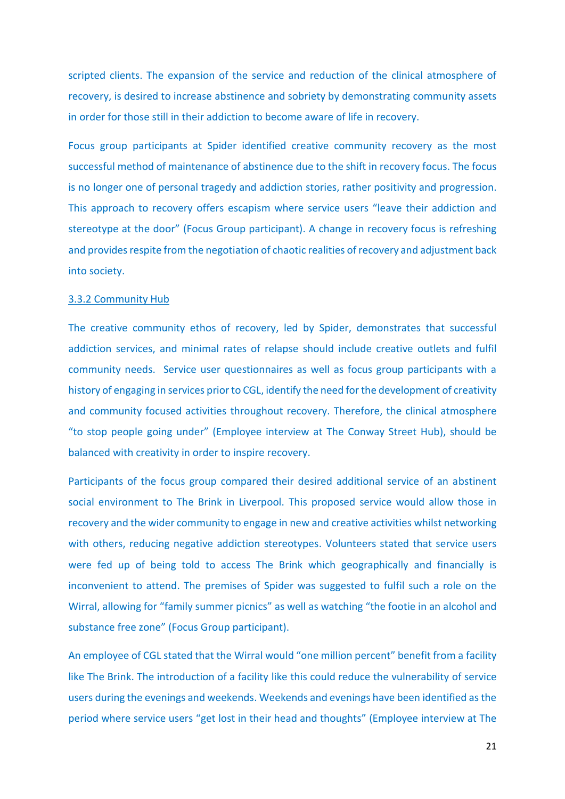scripted clients. The expansion of the service and reduction of the clinical atmosphere of recovery, is desired to increase abstinence and sobriety by demonstrating community assets in order for those still in their addiction to become aware of life in recovery.

Focus group participants at Spider identified creative community recovery as the most successful method of maintenance of abstinence due to the shift in recovery focus. The focus is no longer one of personal tragedy and addiction stories, rather positivity and progression. This approach to recovery offers escapism where service users "leave their addiction and stereotype at the door" (Focus Group participant). A change in recovery focus is refreshing and provides respite from the negotiation of chaotic realities of recovery and adjustment back into society.

#### 3.3.2 Community Hub

The creative community ethos of recovery, led by Spider, demonstrates that successful addiction services, and minimal rates of relapse should include creative outlets and fulfil community needs. Service user questionnaires as well as focus group participants with a history of engaging in services prior to CGL, identify the need for the development of creativity and community focused activities throughout recovery. Therefore, the clinical atmosphere "to stop people going under" (Employee interview at The Conway Street Hub), should be balanced with creativity in order to inspire recovery.

Participants of the focus group compared their desired additional service of an abstinent social environment to The Brink in Liverpool. This proposed service would allow those in recovery and the wider community to engage in new and creative activities whilst networking with others, reducing negative addiction stereotypes. Volunteers stated that service users were fed up of being told to access The Brink which geographically and financially is inconvenient to attend. The premises of Spider was suggested to fulfil such a role on the Wirral, allowing for "family summer picnics" as well as watching "the footie in an alcohol and substance free zone" (Focus Group participant).

An employee of CGL stated that the Wirral would "one million percent" benefit from a facility like The Brink. The introduction of a facility like this could reduce the vulnerability of service users during the evenings and weekends. Weekends and evenings have been identified as the period where service users "get lost in their head and thoughts" (Employee interview at The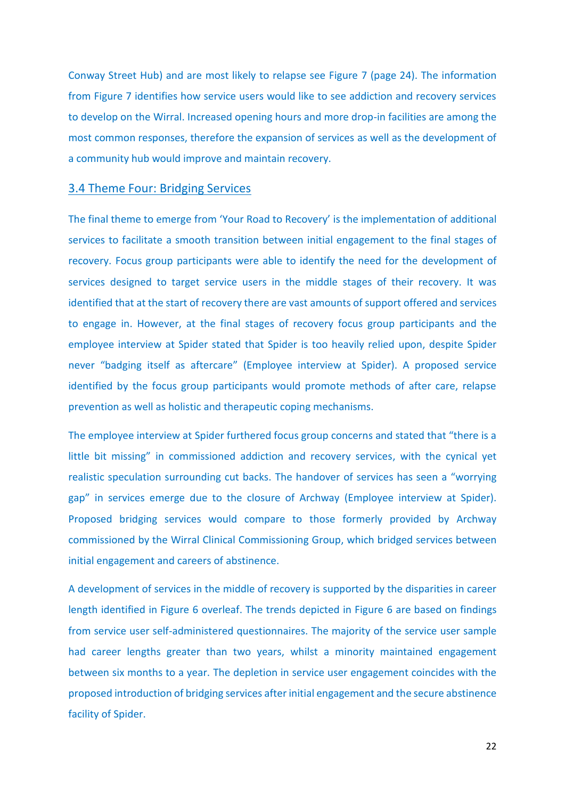Conway Street Hub) and are most likely to relapse see Figure 7 (page 24). The information from Figure 7 identifies how service users would like to see addiction and recovery services to develop on the Wirral. Increased opening hours and more drop-in facilities are among the most common responses, therefore the expansion of services as well as the development of a community hub would improve and maintain recovery.

#### 3.4 Theme Four: Bridging Services

The final theme to emerge from 'Your Road to Recovery' is the implementation of additional services to facilitate a smooth transition between initial engagement to the final stages of recovery. Focus group participants were able to identify the need for the development of services designed to target service users in the middle stages of their recovery. It was identified that at the start of recovery there are vast amounts of support offered and services to engage in. However, at the final stages of recovery focus group participants and the employee interview at Spider stated that Spider is too heavily relied upon, despite Spider never "badging itself as aftercare" (Employee interview at Spider). A proposed service identified by the focus group participants would promote methods of after care, relapse prevention as well as holistic and therapeutic coping mechanisms.

The employee interview at Spider furthered focus group concerns and stated that "there is a little bit missing" in commissioned addiction and recovery services, with the cynical yet realistic speculation surrounding cut backs. The handover of services has seen a "worrying gap" in services emerge due to the closure of Archway (Employee interview at Spider). Proposed bridging services would compare to those formerly provided by Archway commissioned by the Wirral Clinical Commissioning Group, which bridged services between initial engagement and careers of abstinence.

A development of services in the middle of recovery is supported by the disparities in career length identified in Figure 6 overleaf. The trends depicted in Figure 6 are based on findings from service user self-administered questionnaires. The majority of the service user sample had career lengths greater than two years, whilst a minority maintained engagement between six months to a year. The depletion in service user engagement coincides with the proposed introduction of bridging services after initial engagement and the secure abstinence facility of Spider.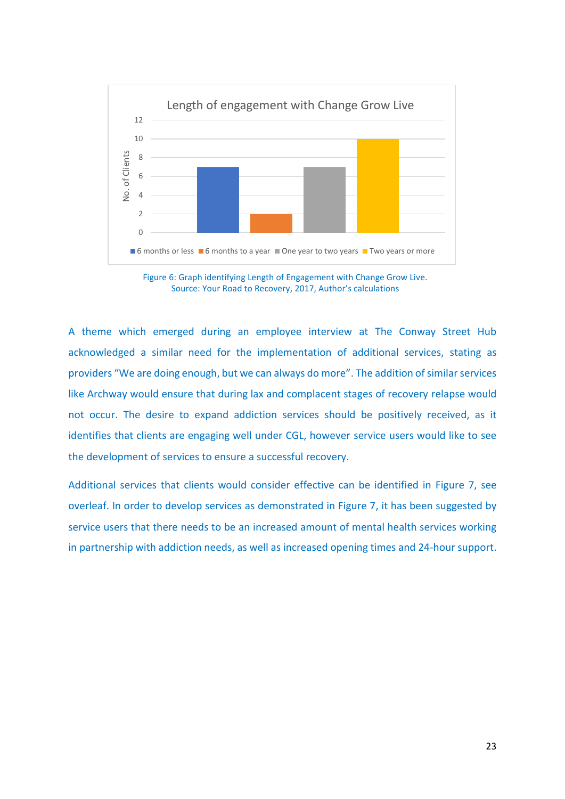

Figure 6: Graph identifying Length of Engagement with Change Grow Live. Source: Your Road to Recovery, 2017, Author's calculations

A theme which emerged during an employee interview at The Conway Street Hub acknowledged a similar need for the implementation of additional services, stating as providers "We are doing enough, but we can always do more". The addition of similar services like Archway would ensure that during lax and complacent stages of recovery relapse would not occur. The desire to expand addiction services should be positively received, as it identifies that clients are engaging well under CGL, however service users would like to see the development of services to ensure a successful recovery.

Additional services that clients would consider effective can be identified in Figure 7, see overleaf. In order to develop services as demonstrated in Figure 7, it has been suggested by service users that there needs to be an increased amount of mental health services working in partnership with addiction needs, as well as increased opening times and 24-hour support.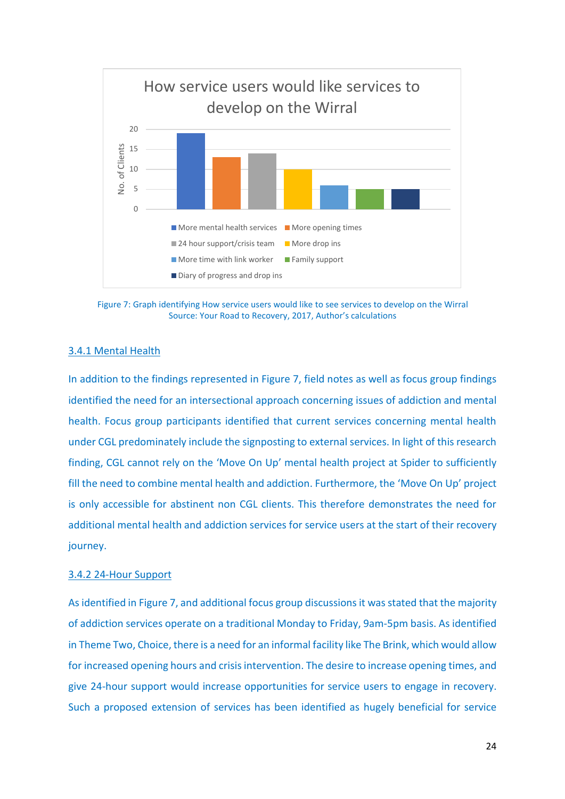

Figure 7: Graph identifying How service users would like to see services to develop on the Wirral Source: Your Road to Recovery, 2017, Author's calculations

#### 3.4.1 Mental Health

In addition to the findings represented in Figure 7, field notes as well as focus group findings identified the need for an intersectional approach concerning issues of addiction and mental health. Focus group participants identified that current services concerning mental health under CGL predominately include the signposting to external services. In light of this research finding, CGL cannot rely on the 'Move On Up' mental health project at Spider to sufficiently fill the need to combine mental health and addiction. Furthermore, the 'Move On Up' project is only accessible for abstinent non CGL clients. This therefore demonstrates the need for additional mental health and addiction services for service users at the start of their recovery journey.

#### 3.4.2 24-Hour Support

As identified in Figure 7, and additional focus group discussions it was stated that the majority of addiction services operate on a traditional Monday to Friday, 9am-5pm basis. As identified in Theme Two, Choice, there is a need for an informal facility like The Brink, which would allow for increased opening hours and crisis intervention. The desire to increase opening times, and give 24-hour support would increase opportunities for service users to engage in recovery. Such a proposed extension of services has been identified as hugely beneficial for service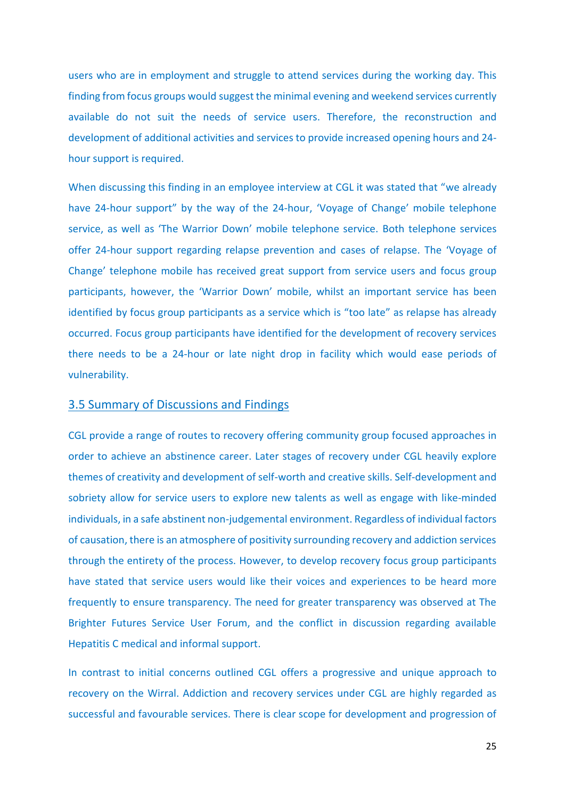users who are in employment and struggle to attend services during the working day. This finding from focus groups would suggest the minimal evening and weekend services currently available do not suit the needs of service users. Therefore, the reconstruction and development of additional activities and services to provide increased opening hours and 24 hour support is required.

When discussing this finding in an employee interview at CGL it was stated that "we already have 24-hour support" by the way of the 24-hour, 'Voyage of Change' mobile telephone service, as well as 'The Warrior Down' mobile telephone service. Both telephone services offer 24-hour support regarding relapse prevention and cases of relapse. The 'Voyage of Change' telephone mobile has received great support from service users and focus group participants, however, the 'Warrior Down' mobile, whilst an important service has been identified by focus group participants as a service which is "too late" as relapse has already occurred. Focus group participants have identified for the development of recovery services there needs to be a 24-hour or late night drop in facility which would ease periods of vulnerability.

## 3.5 Summary of Discussions and Findings

CGL provide a range of routes to recovery offering community group focused approaches in order to achieve an abstinence career. Later stages of recovery under CGL heavily explore themes of creativity and development of self-worth and creative skills. Self-development and sobriety allow for service users to explore new talents as well as engage with like-minded individuals, in a safe abstinent non-judgemental environment. Regardless of individual factors of causation, there is an atmosphere of positivity surrounding recovery and addiction services through the entirety of the process. However, to develop recovery focus group participants have stated that service users would like their voices and experiences to be heard more frequently to ensure transparency. The need for greater transparency was observed at The Brighter Futures Service User Forum, and the conflict in discussion regarding available Hepatitis C medical and informal support.

In contrast to initial concerns outlined CGL offers a progressive and unique approach to recovery on the Wirral. Addiction and recovery services under CGL are highly regarded as successful and favourable services. There is clear scope for development and progression of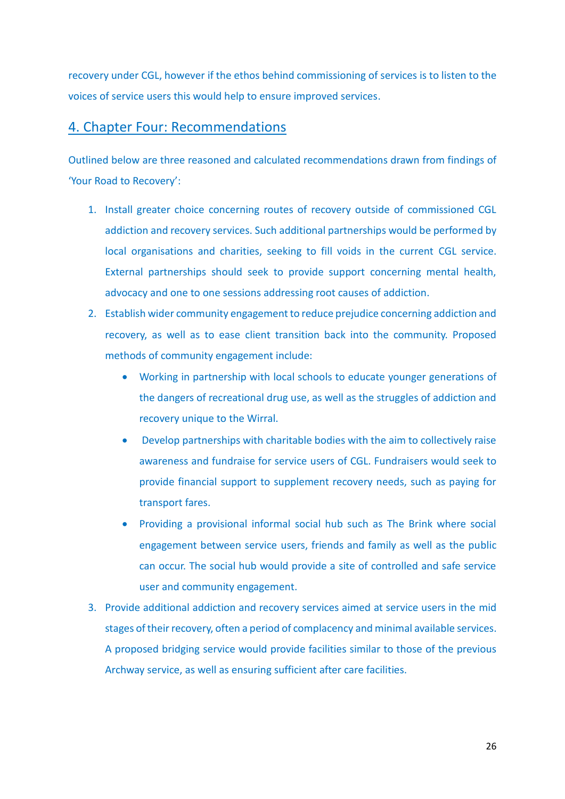recovery under CGL, however if the ethos behind commissioning of services is to listen to the voices of service users this would help to ensure improved services.

# 4. Chapter Four: Recommendations

Outlined below are three reasoned and calculated recommendations drawn from findings of 'Your Road to Recovery':

- 1. Install greater choice concerning routes of recovery outside of commissioned CGL addiction and recovery services. Such additional partnerships would be performed by local organisations and charities, seeking to fill voids in the current CGL service. External partnerships should seek to provide support concerning mental health, advocacy and one to one sessions addressing root causes of addiction.
- 2. Establish wider community engagement to reduce prejudice concerning addiction and recovery, as well as to ease client transition back into the community. Proposed methods of community engagement include:
	- Working in partnership with local schools to educate younger generations of the dangers of recreational drug use, as well as the struggles of addiction and recovery unique to the Wirral.
	- Develop partnerships with charitable bodies with the aim to collectively raise awareness and fundraise for service users of CGL. Fundraisers would seek to provide financial support to supplement recovery needs, such as paying for transport fares.
	- Providing a provisional informal social hub such as The Brink where social engagement between service users, friends and family as well as the public can occur. The social hub would provide a site of controlled and safe service user and community engagement.
- 3. Provide additional addiction and recovery services aimed at service users in the mid stages of their recovery, often a period of complacency and minimal available services. A proposed bridging service would provide facilities similar to those of the previous Archway service, as well as ensuring sufficient after care facilities.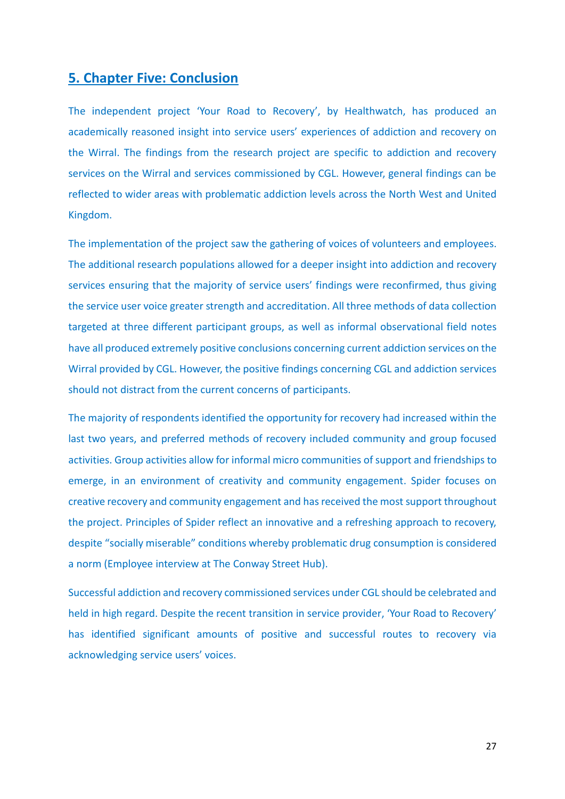# **5. Chapter Five: Conclusion**

The independent project 'Your Road to Recovery', by Healthwatch, has produced an academically reasoned insight into service users' experiences of addiction and recovery on the Wirral. The findings from the research project are specific to addiction and recovery services on the Wirral and services commissioned by CGL. However, general findings can be reflected to wider areas with problematic addiction levels across the North West and United Kingdom.

The implementation of the project saw the gathering of voices of volunteers and employees. The additional research populations allowed for a deeper insight into addiction and recovery services ensuring that the majority of service users' findings were reconfirmed, thus giving the service user voice greater strength and accreditation. All three methods of data collection targeted at three different participant groups, as well as informal observational field notes have all produced extremely positive conclusions concerning current addiction services on the Wirral provided by CGL. However, the positive findings concerning CGL and addiction services should not distract from the current concerns of participants.

The majority of respondents identified the opportunity for recovery had increased within the last two years, and preferred methods of recovery included community and group focused activities. Group activities allow for informal micro communities of support and friendships to emerge, in an environment of creativity and community engagement. Spider focuses on creative recovery and community engagement and has received the most support throughout the project. Principles of Spider reflect an innovative and a refreshing approach to recovery, despite "socially miserable" conditions whereby problematic drug consumption is considered a norm (Employee interview at The Conway Street Hub).

Successful addiction and recovery commissioned services under CGL should be celebrated and held in high regard. Despite the recent transition in service provider, 'Your Road to Recovery' has identified significant amounts of positive and successful routes to recovery via acknowledging service users' voices.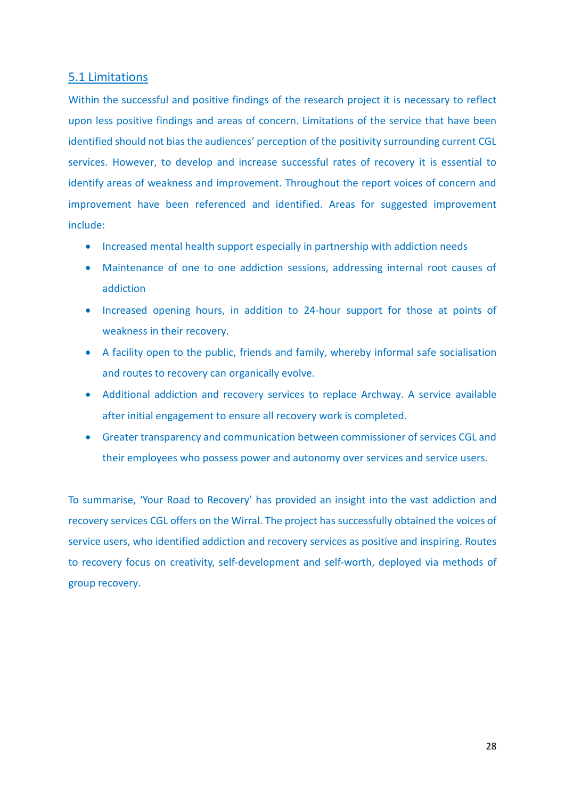## 5.1 Limitations

Within the successful and positive findings of the research project it is necessary to reflect upon less positive findings and areas of concern. Limitations of the service that have been identified should not bias the audiences' perception of the positivity surrounding current CGL services. However, to develop and increase successful rates of recovery it is essential to identify areas of weakness and improvement. Throughout the report voices of concern and improvement have been referenced and identified. Areas for suggested improvement include:

- Increased mental health support especially in partnership with addiction needs
- Maintenance of one to one addiction sessions, addressing internal root causes of addiction
- Increased opening hours, in addition to 24-hour support for those at points of weakness in their recovery.
- A facility open to the public, friends and family, whereby informal safe socialisation and routes to recovery can organically evolve.
- Additional addiction and recovery services to replace Archway. A service available after initial engagement to ensure all recovery work is completed.
- Greater transparency and communication between commissioner of services CGL and their employees who possess power and autonomy over services and service users.

To summarise, 'Your Road to Recovery' has provided an insight into the vast addiction and recovery services CGL offers on the Wirral. The project has successfully obtained the voices of service users, who identified addiction and recovery services as positive and inspiring. Routes to recovery focus on creativity, self-development and self-worth, deployed via methods of group recovery.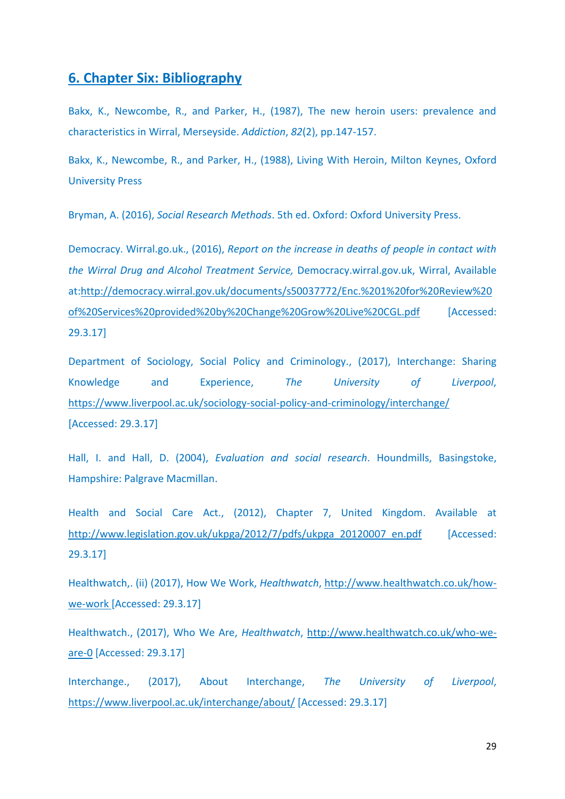# **6. Chapter Six: Bibliography**

Bakx, K., Newcombe, R., and Parker, H., (1987), The new heroin users: prevalence and characteristics in Wirral, Merseyside. *Addiction*, *82*(2), pp.147-157.

Bakx, K., Newcombe, R., and Parker, H., (1988), Living With Heroin, Milton Keynes, Oxford University Press

Bryman, A. (2016), *Social Research Methods*. 5th ed. Oxford: Oxford University Press.

Democracy. Wirral.go.uk., (2016), *Report on the increase in deaths of people in contact with the Wirral Drug and Alcohol Treatment Service,* Democracy.wirral.gov.uk, Wirral, Available at[:http://democracy.wirral.gov.uk/documents/s50037772/Enc.%201%20for%20Review%20](http://democracy.wirral.gov.uk/documents/s50037772/Enc.%201%20for%20Review%20of%20Services%20provided%20by%20Change%20Grow%20Live%20CGL.pdf) [of%20Services%20provided%20by%20Change%20Grow%20Live%20CGL.pdf](http://democracy.wirral.gov.uk/documents/s50037772/Enc.%201%20for%20Review%20of%20Services%20provided%20by%20Change%20Grow%20Live%20CGL.pdf) [Accessed: 29.3.17]

Department of Sociology, Social Policy and Criminology., (2017), Interchange: Sharing Knowledge and Experience, *The University of Liverpool*, <https://www.liverpool.ac.uk/sociology-social-policy-and-criminology/interchange/> [Accessed: 29.3.17]

Hall, I. and Hall, D. (2004), *Evaluation and social research*. Houndmills, Basingstoke, Hampshire: Palgrave Macmillan.

Health and Social Care Act., (2012), Chapter 7, United Kingdom. Available at [http://www.legislation.gov.uk/ukpga/2012/7/pdfs/ukpga\\_20120007\\_en.pdf](http://www.legislation.gov.uk/ukpga/2012/7/pdfs/ukpga_20120007_en.pdf) [Accessed: 29.3.17]

Healthwatch,. (ii) (2017), How We Work, *Healthwatch*, [http://www.healthwatch.co.uk/how](http://www.healthwatch.co.uk/how-we-work)[we-work](http://www.healthwatch.co.uk/how-we-work) [Accessed: 29.3.17]

Healthwatch., (2017), Who We Are, *Healthwatch*, [http://www.healthwatch.co.uk/who-we](http://www.healthwatch.co.uk/who-we-are-0)[are-0](http://www.healthwatch.co.uk/who-we-are-0) [Accessed: 29.3.17]

Interchange., (2017), About Interchange, *The University of Liverpool*, <https://www.liverpool.ac.uk/interchange/about/> [Accessed: 29.3.17]

29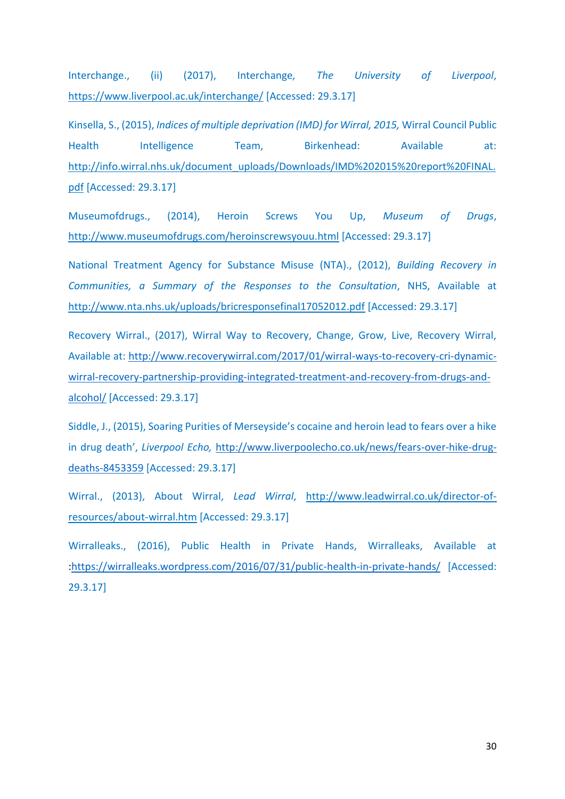Interchange., (ii) (2017), Interchange*, The University of Liverpool*, <https://www.liverpool.ac.uk/interchange/> [Accessed: 29.3.17]

Kinsella, S., (2015), *Indices of multiple deprivation (IMD) for Wirral, 2015,* Wirral Council Public Health Intelligence Team, Birkenhead: Available at: [http://info.wirral.nhs.uk/document\\_uploads/Downloads/IMD%202015%20report%20FINAL.](http://info.wirral.nhs.uk/document_uploads/Downloads/IMD%202015%20report%20FINAL.pdf) [pdf](http://info.wirral.nhs.uk/document_uploads/Downloads/IMD%202015%20report%20FINAL.pdf) [Accessed: 29.3.17]

Museumofdrugs., (2014), Heroin Screws You Up, *Museum of Drugs*, <http://www.museumofdrugs.com/heroinscrewsyouu.html> [Accessed: 29.3.17]

National Treatment Agency for Substance Misuse (NTA)., (2012), *Building Recovery in Communities, a Summary of the Responses to the Consultation*, NHS, Available at <http://www.nta.nhs.uk/uploads/bricresponsefinal17052012.pdf> [Accessed: 29.3.17]

Recovery Wirral., (2017), Wirral Way to Recovery, Change, Grow, Live, Recovery Wirral, Available at: [http://www.recoverywirral.com/2017/01/wirral-ways-to-recovery-cri-dynamic](http://www.recoverywirral.com/2017/01/wirral-ways-to-recovery-cri-dynamic-wirral-recovery-partnership-providing-integrated-treatment-and-recovery-from-drugs-and-alcohol/)[wirral-recovery-partnership-providing-integrated-treatment-and-recovery-from-drugs-and](http://www.recoverywirral.com/2017/01/wirral-ways-to-recovery-cri-dynamic-wirral-recovery-partnership-providing-integrated-treatment-and-recovery-from-drugs-and-alcohol/)[alcohol/](http://www.recoverywirral.com/2017/01/wirral-ways-to-recovery-cri-dynamic-wirral-recovery-partnership-providing-integrated-treatment-and-recovery-from-drugs-and-alcohol/) [Accessed: 29.3.17]

Siddle, J., (2015), Soaring Purities of Merseyside's cocaine and heroin lead to fears over a hike in drug death', *Liverpool Echo,* [http://www.liverpoolecho.co.uk/news/fears-over-hike-drug](http://www.liverpoolecho.co.uk/news/fears-over-hike-drug-deaths-8453359)[deaths-8453359](http://www.liverpoolecho.co.uk/news/fears-over-hike-drug-deaths-8453359) [Accessed: 29.3.17]

Wirral., (2013), About Wirral, *Lead Wirral*, [http://www.leadwirral.co.uk/director-of](http://www.leadwirral.co.uk/director-of-resources/about-wirral.htm)[resources/about-wirral.htm](http://www.leadwirral.co.uk/director-of-resources/about-wirral.htm) [Accessed: 29.3.17]

Wirralleaks., (2016), Public Health in Private Hands, Wirralleaks, Available at [:https://wirralleaks.wordpress.com/2016/07/31/public-health-in-private-hands/](https://wirralleaks.wordpress.com/2016/07/31/public-health-in-private-hands/) [Accessed: 29.3.17]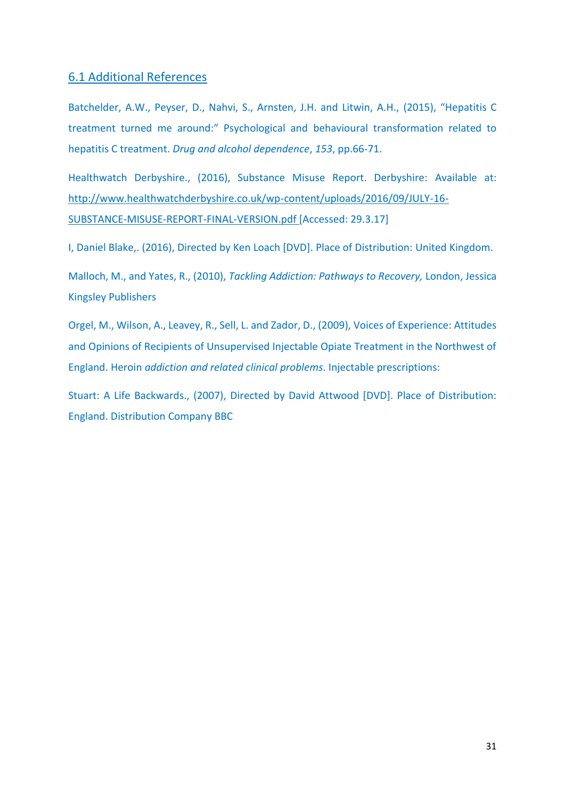## 6.1 Additional References

Batchelder, A.W., Peyser, D., Nahvi, S., Arnsten, J.H. and Litwin, A.H., (2015), "Hepatitis C treatment turned me around:" Psychological and behavioural transformation related to hepatitis C treatment. *Drug and alcohol dependence*, *153*, pp.66-71.

Healthwatch Derbyshire., (2016), Substance Misuse Report. Derbyshire: Available at: [http://www.healthwatchderbyshire.co.uk/wp-content/uploads/2016/09/JULY-16-](http://www.healthwatchderbyshire.co.uk/wp-content/uploads/2016/09/JULY-16-SUBSTANCE-MISUSE-REPORT-FINAL-VERSION.pdf) [SUBSTANCE-MISUSE-REPORT-FINAL-VERSION.pdf](http://www.healthwatchderbyshire.co.uk/wp-content/uploads/2016/09/JULY-16-SUBSTANCE-MISUSE-REPORT-FINAL-VERSION.pdf) [Accessed: 29.3.17]

I, Daniel Blake,. (2016), Directed by Ken Loach [DVD]. Place of Distribution: United Kingdom.

Malloch, M., and Yates, R., (2010), *Tackling Addiction: Pathways to Recovery,* London, Jessica Kingsley Publishers

Orgel, M., Wilson, A., Leavey, R., Sell, L. and Zador, D., (2009), Voices of Experience: Attitudes and Opinions of Recipients of Unsupervised Injectable Opiate Treatment in the Northwest of England. Heroin *addiction and related clinical problems*. Injectable prescriptions:

Stuart: A Life Backwards., (2007), Directed by David Attwood [DVD]. Place of Distribution: England. Distribution Company BBC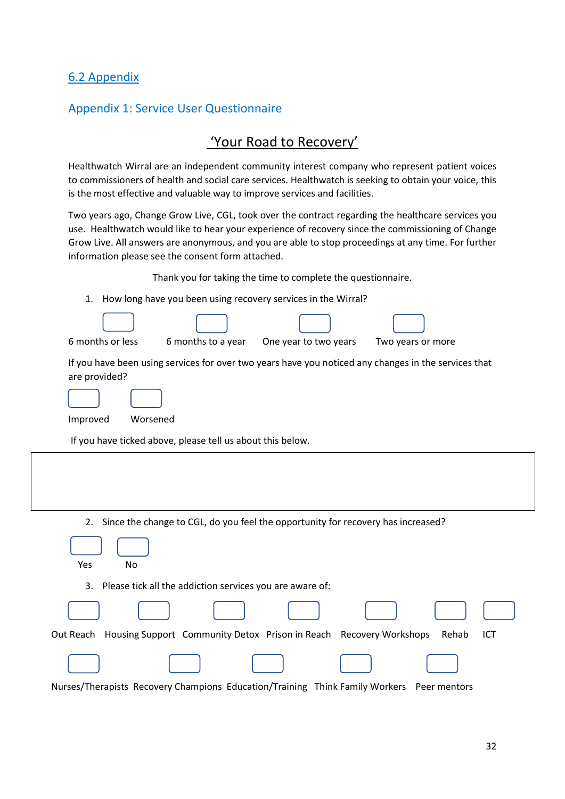# 6.2 Appendix

# Appendix 1: Service User Questionnaire

# 'Your Road to Recovery'

Healthwatch Wirral are an independent community interest company who represent patient voices to commissioners of health and social care services. Healthwatch is seeking to obtain your voice, this is the most effective and valuable way to improve services and facilities.

Two years ago, Change Grow Live, CGL, took over the contract regarding the healthcare services you use. Healthwatch would like to hear your experience of recovery since the commissioning of Change Grow Live. All answers are anonymous, and you are able to stop proceedings at any time. For further information please see the consent form attached.

| Thank you for taking the time to complete the questionnaire.                                                          |
|-----------------------------------------------------------------------------------------------------------------------|
| How long have you been using recovery services in the Wirral?<br>1.                                                   |
|                                                                                                                       |
| 6 months or less<br>6 months to a year<br>One year to two years<br>Two years or more                                  |
| If you have been using services for over two years have you noticed any changes in the services that<br>are provided? |
|                                                                                                                       |
| Improved<br>Worsened                                                                                                  |
| If you have ticked above, please tell us about this below.                                                            |
|                                                                                                                       |
| Since the change to CGL, do you feel the opportunity for recovery has increased?<br>2.                                |
| Yes<br>No                                                                                                             |
| Please tick all the addiction services you are aware of:<br>3.                                                        |
|                                                                                                                       |
| Out Reach Housing Support Community Detox Prison in Reach Recovery Workshops<br>Rehab<br>ICT                          |
|                                                                                                                       |

Nurses/Therapists Recovery Champions Education/Training Think Family Workers Peer mentors